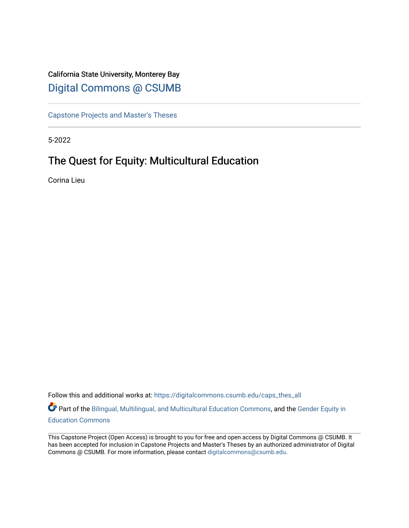# California State University, Monterey Bay [Digital Commons @ CSUMB](https://digitalcommons.csumb.edu/)

[Capstone Projects and Master's Theses](https://digitalcommons.csumb.edu/caps_thes_all)

5-2022

# The Quest for Equity: Multicultural Education

Corina Lieu

Follow this and additional works at: [https://digitalcommons.csumb.edu/caps\\_thes\\_all](https://digitalcommons.csumb.edu/caps_thes_all?utm_source=digitalcommons.csumb.edu%2Fcaps_thes_all%2F1323&utm_medium=PDF&utm_campaign=PDFCoverPages)

Part of the [Bilingual, Multilingual, and Multicultural Education Commons,](https://network.bepress.com/hgg/discipline/785?utm_source=digitalcommons.csumb.edu%2Fcaps_thes_all%2F1323&utm_medium=PDF&utm_campaign=PDFCoverPages) and the [Gender Equity in](https://network.bepress.com/hgg/discipline/1376?utm_source=digitalcommons.csumb.edu%2Fcaps_thes_all%2F1323&utm_medium=PDF&utm_campaign=PDFCoverPages)  [Education Commons](https://network.bepress.com/hgg/discipline/1376?utm_source=digitalcommons.csumb.edu%2Fcaps_thes_all%2F1323&utm_medium=PDF&utm_campaign=PDFCoverPages) 

This Capstone Project (Open Access) is brought to you for free and open access by Digital Commons @ CSUMB. It has been accepted for inclusion in Capstone Projects and Master's Theses by an authorized administrator of Digital Commons @ CSUMB. For more information, please contact [digitalcommons@csumb.edu](mailto:digitalcommons@csumb.edu).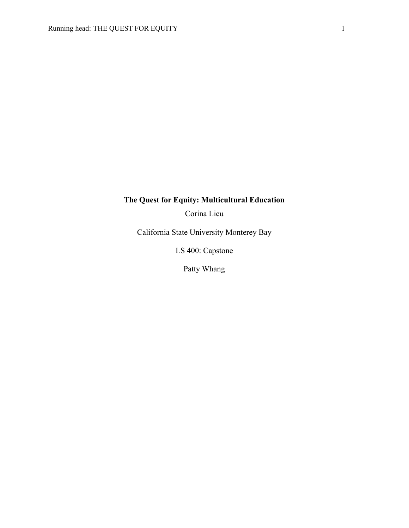## **The Quest for Equity: Multicultural Education**

Corina Lieu

California State University Monterey Bay

LS 400: Capstone

Patty Whang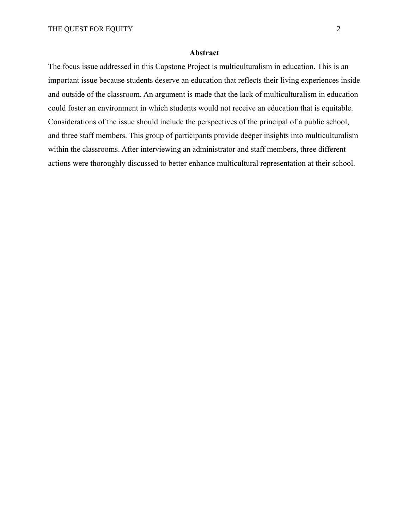#### **Abstract**

The focus issue addressed in this Capstone Project is multiculturalism in education. This is an important issue because students deserve an education that reflects their living experiences inside and outside of the classroom. An argument is made that the lack of multiculturalism in education could foster an environment in which students would not receive an education that is equitable. Considerations of the issue should include the perspectives of the principal of a public school, and three staff members. This group of participants provide deeper insights into multiculturalism within the classrooms. After interviewing an administrator and staff members, three different actions were thoroughly discussed to better enhance multicultural representation at their school.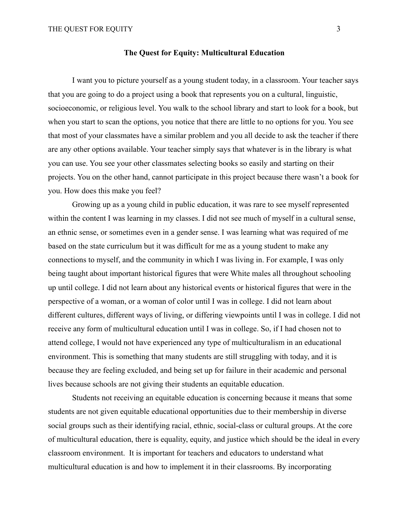#### **The Quest for Equity: Multicultural Education**

I want you to picture yourself as a young student today, in a classroom. Your teacher says that you are going to do a project using a book that represents you on a cultural, linguistic, socioeconomic, or religious level. You walk to the school library and start to look for a book, but when you start to scan the options, you notice that there are little to no options for you. You see that most of your classmates have a similar problem and you all decide to ask the teacher if there are any other options available. Your teacher simply says that whatever is in the library is what you can use. You see your other classmates selecting books so easily and starting on their projects. You on the other hand, cannot participate in this project because there wasn't a book for you. How does this make you feel?

Growing up as a young child in public education, it was rare to see myself represented within the content I was learning in my classes. I did not see much of myself in a cultural sense, an ethnic sense, or sometimes even in a gender sense. I was learning what was required of me based on the state curriculum but it was difficult for me as a young student to make any connections to myself, and the community in which I was living in. For example, I was only being taught about important historical figures that were White males all throughout schooling up until college. I did not learn about any historical events or historical figures that were in the perspective of a woman, or a woman of color until I was in college. I did not learn about different cultures, different ways of living, or differing viewpoints until I was in college. I did not receive any form of multicultural education until I was in college. So, if I had chosen not to attend college, I would not have experienced any type of multiculturalism in an educational environment. This is something that many students are still struggling with today, and it is because they are feeling excluded, and being set up for failure in their academic and personal lives because schools are not giving their students an equitable education.

Students not receiving an equitable education is concerning because it means that some students are not given equitable educational opportunities due to their membership in diverse social groups such as their identifying racial, ethnic, social-class or cultural groups. At the core of multicultural education, there is equality, equity, and justice which should be the ideal in every classroom environment. It is important for teachers and educators to understand what multicultural education is and how to implement it in their classrooms. By incorporating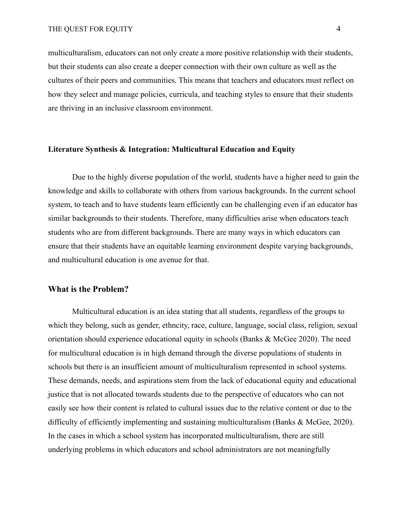multiculturalism, educators can not only create a more positive relationship with their students, but their students can also create a deeper connection with their own culture as well as the cultures of their peers and communities. This means that teachers and educators must reflect on how they select and manage policies, curricula, and teaching styles to ensure that their students are thriving in an inclusive classroom environment.

#### **Literature Synthesis & Integration: Multicultural Education and Equity**

Due to the highly diverse population of the world, students have a higher need to gain the knowledge and skills to collaborate with others from various backgrounds. In the current school system, to teach and to have students learn efficiently can be challenging even if an educator has similar backgrounds to their students. Therefore, many difficulties arise when educators teach students who are from different backgrounds. There are many ways in which educators can ensure that their students have an equitable learning environment despite varying backgrounds, and multicultural education is one avenue for that.

#### **What is the Problem?**

Multicultural education is an idea stating that all students, regardless of the groups to which they belong, such as gender, ethncity, race, culture, language, social class, religion, sexual orientation should experience educational equity in schools (Banks & McGee 2020). The need for multicultural education is in high demand through the diverse populations of students in schools but there is an insufficient amount of multiculturalism represented in school systems. These demands, needs, and aspirations stem from the lack of educational equity and educational justice that is not allocated towards students due to the perspective of educators who can not easily see how their content is related to cultural issues due to the relative content or due to the difficulty of efficiently implementing and sustaining multiculturalism (Banks & McGee, 2020). In the cases in which a school system has incorporated multiculturalism, there are still underlying problems in which educators and school administrators are not meaningfully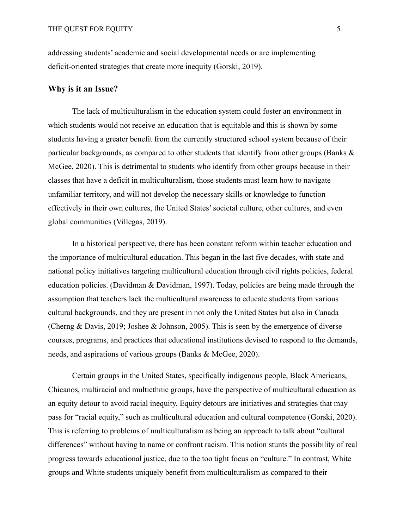addressing students' academic and social developmental needs or are implementing deficit-oriented strategies that create more inequity (Gorski, 2019).

## **Why is it an Issue?**

The lack of multiculturalism in the education system could foster an environment in which students would not receive an education that is equitable and this is shown by some students having a greater benefit from the currently structured school system because of their particular backgrounds, as compared to other students that identify from other groups (Banks  $\&$ McGee, 2020). This is detrimental to students who identify from other groups because in their classes that have a deficit in multiculturalism, those students must learn how to navigate unfamiliar territory, and will not develop the necessary skills or knowledge to function effectively in their own cultures, the United States' societal culture, other cultures, and even global communities (Villegas, 2019).

In a historical perspective, there has been constant reform within teacher education and the importance of multicultural education. This began in the last five decades, with state and national policy initiatives targeting multicultural education through civil rights policies, federal education policies. (Davidman & Davidman, 1997). Today, policies are being made through the assumption that teachers lack the multicultural awareness to educate students from various cultural backgrounds, and they are present in not only the United States but also in Canada (Cherng & Davis, 2019; Joshee & Johnson, 2005). This is seen by the emergence of diverse courses, programs, and practices that educational institutions devised to respond to the demands, needs, and aspirations of various groups (Banks & McGee, 2020).

Certain groups in the United States, specifically indigenous people, Black Americans, Chicanos, multiracial and multiethnic groups, have the perspective of multicultural education as an equity detour to avoid racial inequity. Equity detours are initiatives and strategies that may pass for "racial equity," such as multicultural education and cultural competence (Gorski, 2020). This is referring to problems of multiculturalism as being an approach to talk about "cultural differences" without having to name or confront racism. This notion stunts the possibility of real progress towards educational justice, due to the too tight focus on "culture." In contrast, White groups and White students uniquely benefit from multiculturalism as compared to their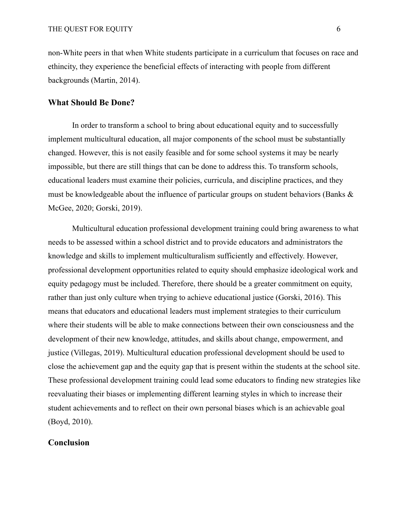non-White peers in that when White students participate in a curriculum that focuses on race and ethincity, they experience the beneficial effects of interacting with people from different backgrounds (Martin, 2014).

#### **What Should Be Done?**

In order to transform a school to bring about educational equity and to successfully implement multicultural education, all major components of the school must be substantially changed. However, this is not easily feasible and for some school systems it may be nearly impossible, but there are still things that can be done to address this. To transform schools, educational leaders must examine their policies, curricula, and discipline practices, and they must be knowledgeable about the influence of particular groups on student behaviors (Banks & McGee, 2020; Gorski, 2019).

Multicultural education professional development training could bring awareness to what needs to be assessed within a school district and to provide educators and administrators the knowledge and skills to implement multiculturalism sufficiently and effectively. However, professional development opportunities related to equity should emphasize ideological work and equity pedagogy must be included. Therefore, there should be a greater commitment on equity, rather than just only culture when trying to achieve educational justice (Gorski, 2016). This means that educators and educational leaders must implement strategies to their curriculum where their students will be able to make connections between their own consciousness and the development of their new knowledge, attitudes, and skills about change, empowerment, and justice (Villegas, 2019). Multicultural education professional development should be used to close the achievement gap and the equity gap that is present within the students at the school site. These professional development training could lead some educators to finding new strategies like reevaluating their biases or implementing different learning styles in which to increase their student achievements and to reflect on their own personal biases which is an achievable goal (Boyd, 2010).

#### **Conclusion**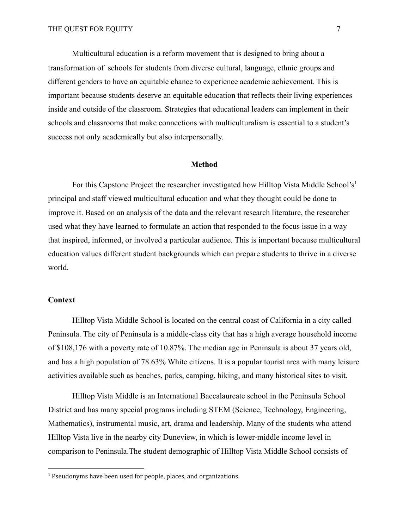Multicultural education is a reform movement that is designed to bring about a transformation of schools for students from diverse cultural, language, ethnic groups and different genders to have an equitable chance to experience academic achievement. This is important because students deserve an equitable education that reflects their living experiences inside and outside of the classroom. Strategies that educational leaders can implement in their schools and classrooms that make connections with multiculturalism is essential to a student's success not only academically but also interpersonally.

#### **Method**

For this Capstone Project the researcher investigated how Hilltop Vista Middle School's<sup>1</sup> principal and staff viewed multicultural education and what they thought could be done to improve it. Based on an analysis of the data and the relevant research literature, the researcher used what they have learned to formulate an action that responded to the focus issue in a way that inspired, informed, or involved a particular audience. This is important because multicultural education values different student backgrounds which can prepare students to thrive in a diverse world.

#### **Context**

Hilltop Vista Middle School is located on the central coast of California in a city called Peninsula. The city of Peninsula is a middle-class city that has a high average household income of \$108,176 with a poverty rate of 10.87%. The median age in Peninsula is about 37 years old, and has a high population of 78.63% White citizens. It is a popular tourist area with many leisure activities available such as beaches, parks, camping, hiking, and many historical sites to visit.

Hilltop Vista Middle is an International Baccalaureate school in the Peninsula School District and has many special programs including STEM (Science, Technology, Engineering, Mathematics), instrumental music, art, drama and leadership. Many of the students who attend Hilltop Vista live in the nearby city Duneview, in which is lower-middle income level in comparison to Peninsula.The student demographic of Hilltop Vista Middle School consists of

<sup>&</sup>lt;sup>1</sup> Pseudonyms have been used for people, places, and organizations.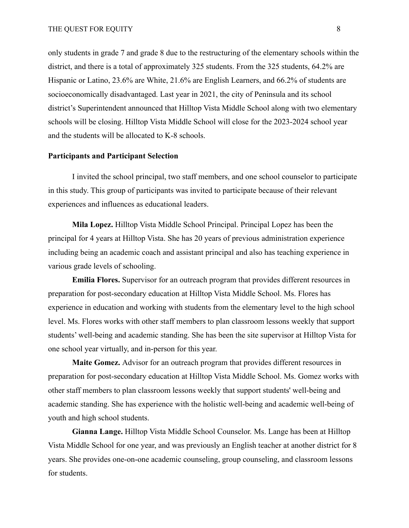only students in grade 7 and grade 8 due to the restructuring of the elementary schools within the district, and there is a total of approximately 325 students. From the 325 students, 64.2% are Hispanic or Latino, 23.6% are White, 21.6% are English Learners, and 66.2% of students are socioeconomically disadvantaged. Last year in 2021, the city of Peninsula and its school district's Superintendent announced that Hilltop Vista Middle School along with two elementary schools will be closing. Hilltop Vista Middle School will close for the 2023-2024 school year and the students will be allocated to K-8 schools.

## **Participants and Participant Selection**

I invited the school principal, two staff members, and one school counselor to participate in this study. This group of participants was invited to participate because of their relevant experiences and influences as educational leaders.

**Mila Lopez.** Hilltop Vista Middle School Principal. Principal Lopez has been the principal for 4 years at Hilltop Vista. She has 20 years of previous administration experience including being an academic coach and assistant principal and also has teaching experience in various grade levels of schooling.

**Emilia Flores.** Supervisor for an outreach program that provides different resources in preparation for post-secondary education at Hilltop Vista Middle School. Ms. Flores has experience in education and working with students from the elementary level to the high school level. Ms. Flores works with other staff members to plan classroom lessons weekly that support students' well-being and academic standing. She has been the site supervisor at Hilltop Vista for one school year virtually, and in-person for this year.

**Maite Gomez.** Advisor for an outreach program that provides different resources in preparation for post-secondary education at Hilltop Vista Middle School. Ms. Gomez works with other staff members to plan classroom lessons weekly that support students' well-being and academic standing. She has experience with the holistic well-being and academic well-being of youth and high school students.

**Gianna Lange.** Hilltop Vista Middle School Counselor. Ms. Lange has been at Hilltop Vista Middle School for one year, and was previously an English teacher at another district for 8 years. She provides one-on-one academic counseling, group counseling, and classroom lessons for students.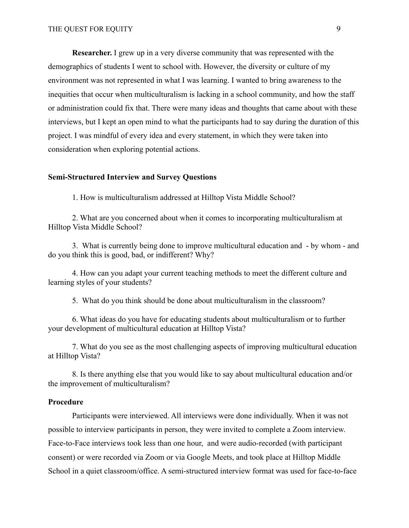**Researcher.** I grew up in a very diverse community that was represented with the demographics of students I went to school with. However, the diversity or culture of my environment was not represented in what I was learning. I wanted to bring awareness to the inequities that occur when multiculturalism is lacking in a school community, and how the staff or administration could fix that. There were many ideas and thoughts that came about with these interviews, but I kept an open mind to what the participants had to say during the duration of this project. I was mindful of every idea and every statement, in which they were taken into consideration when exploring potential actions.

#### **Semi-Structured Interview and Survey Questions**

1. How is multiculturalism addressed at Hilltop Vista Middle School?

2. What are you concerned about when it comes to incorporating multiculturalism at Hilltop Vista Middle School?

3. What is currently being done to improve multicultural education and - by whom - and do you think this is good, bad, or indifferent? Why?

4. How can you adapt your current teaching methods to meet the different culture and learning styles of your students?

5. What do you think should be done about multiculturalism in the classroom?

6. What ideas do you have for educating students about multiculturalism or to further your development of multicultural education at Hilltop Vista?

7. What do you see as the most challenging aspects of improving multicultural education at Hilltop Vista?

8. Is there anything else that you would like to say about multicultural education and/or the improvement of multiculturalism?

#### **Procedure**

Participants were interviewed. All interviews were done individually. When it was not possible to interview participants in person, they were invited to complete a Zoom interview. Face-to-Face interviews took less than one hour, and were audio-recorded (with participant consent) or were recorded via Zoom or via Google Meets, and took place at Hilltop Middle School in a quiet classroom/office. A semi-structured interview format was used for face-to-face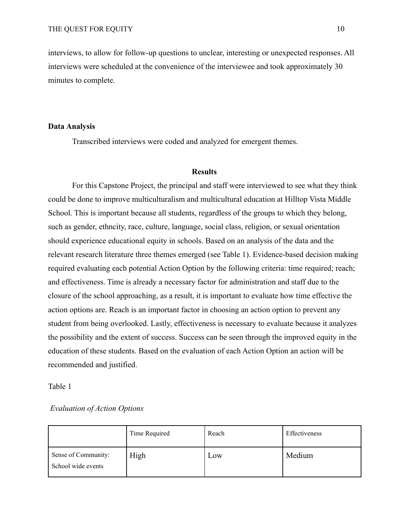interviews, to allow for follow-up questions to unclear, interesting or unexpected responses. All interviews were scheduled at the convenience of the interviewee and took approximately 30 minutes to complete.

#### **Data Analysis**

Transcribed interviews were coded and analyzed for emergent themes.

#### **Results**

For this Capstone Project, the principal and staff were interviewed to see what they think could be done to improve multiculturalism and multicultural education at Hilltop Vista Middle School. This is important because all students, regardless of the groups to which they belong, such as gender, ethncity, race, culture, language, social class, religion, or sexual orientation should experience educational equity in schools. Based on an analysis of the data and the relevant research literature three themes emerged (see Table 1). Evidence-based decision making required evaluating each potential Action Option by the following criteria: time required; reach; and effectiveness. Time is already a necessary factor for administration and staff due to the closure of the school approaching, as a result, it is important to evaluate how time effective the action options are. Reach is an important factor in choosing an action option to prevent any student from being overlooked. Lastly, effectiveness is necessary to evaluate because it analyzes the possibility and the extent of success. Success can be seen through the improved equity in the education of these students. Based on the evaluation of each Action Option an action will be recommended and justified.

#### Table 1

#### *Evaluation of Action Options*

|                                           | Time Required | Reach | Effectiveness |
|-------------------------------------------|---------------|-------|---------------|
| Sense of Community:<br>School wide events | High          | Low   | Medium        |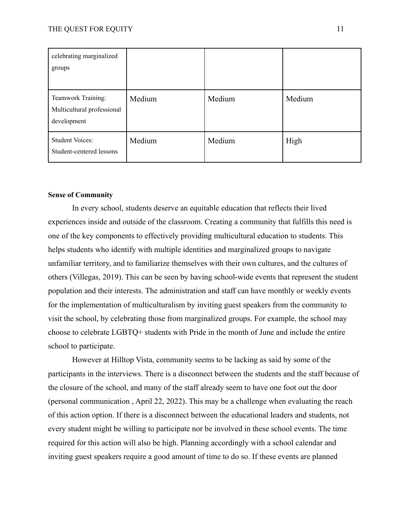| celebrating marginalized<br>groups                              |        |        |        |
|-----------------------------------------------------------------|--------|--------|--------|
| Teamwork Training:<br>Multicultural professional<br>development | Medium | Medium | Medium |
| <b>Student Voices:</b><br>Student-centered lessons              | Medium | Medium | High   |

#### **Sense of Community**

In every school, students deserve an equitable education that reflects their lived experiences inside and outside of the classroom. Creating a community that fulfills this need is one of the key components to effectively providing multicultural education to students. This helps students who identify with multiple identities and marginalized groups to navigate unfamiliar territory, and to familiarize themselves with their own cultures, and the cultures of others (Villegas, 2019). This can be seen by having school-wide events that represent the student population and their interests. The administration and staff can have monthly or weekly events for the implementation of multiculturalism by inviting guest speakers from the community to visit the school, by celebrating those from marginalized groups. For example, the school may choose to celebrate LGBTQ+ students with Pride in the month of June and include the entire school to participate.

However at Hilltop Vista, community seems to be lacking as said by some of the participants in the interviews. There is a disconnect between the students and the staff because of the closure of the school, and many of the staff already seem to have one foot out the door (personal communication , April 22, 2022). This may be a challenge when evaluating the reach of this action option. If there is a disconnect between the educational leaders and students, not every student might be willing to participate nor be involved in these school events. The time required for this action will also be high. Planning accordingly with a school calendar and inviting guest speakers require a good amount of time to do so. If these events are planned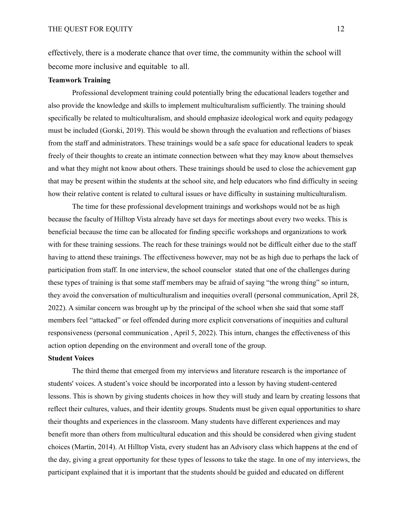effectively, there is a moderate chance that over time, the community within the school will become more inclusive and equitable to all.

#### **Teamwork Training**

Professional development training could potentially bring the educational leaders together and also provide the knowledge and skills to implement multiculturalism sufficiently. The training should specifically be related to multiculturalism, and should emphasize ideological work and equity pedagogy must be included (Gorski, 2019). This would be shown through the evaluation and reflections of biases from the staff and administrators. These trainings would be a safe space for educational leaders to speak freely of their thoughts to create an intimate connection between what they may know about themselves and what they might not know about others. These trainings should be used to close the achievement gap that may be present within the students at the school site, and help educators who find difficulty in seeing how their relative content is related to cultural issues or have difficulty in sustaining multiculturalism.

The time for these professional development trainings and workshops would not be as high because the faculty of Hilltop Vista already have set days for meetings about every two weeks. This is beneficial because the time can be allocated for finding specific workshops and organizations to work with for these training sessions. The reach for these trainings would not be difficult either due to the staff having to attend these trainings. The effectiveness however, may not be as high due to perhaps the lack of participation from staff. In one interview, the school counselor stated that one of the challenges during these types of training is that some staff members may be afraid of saying "the wrong thing" so inturn, they avoid the conversation of multiculturalism and inequities overall (personal communication, April 28, 2022). A similar concern was brought up by the principal of the school when she said that some staff members feel "attacked" or feel offended during more explicit conversations of inequities and cultural responsiveness (personal communication , April 5, 2022). This inturn, changes the effectiveness of this action option depending on the environment and overall tone of the group.

#### **Student Voices**

The third theme that emerged from my interviews and literature research is the importance of students' voices. A student's voice should be incorporated into a lesson by having student-centered lessons. This is shown by giving students choices in how they will study and learn by creating lessons that reflect their cultures, values, and their identity groups. Students must be given equal opportunities to share their thoughts and experiences in the classroom. Many students have different experiences and may benefit more than others from multicultural education and this should be considered when giving student choices (Martin, 2014). At Hilltop Vista, every student has an Advisory class which happens at the end of the day, giving a great opportunity for these types of lessons to take the stage. In one of my interviews, the participant explained that it is important that the students should be guided and educated on different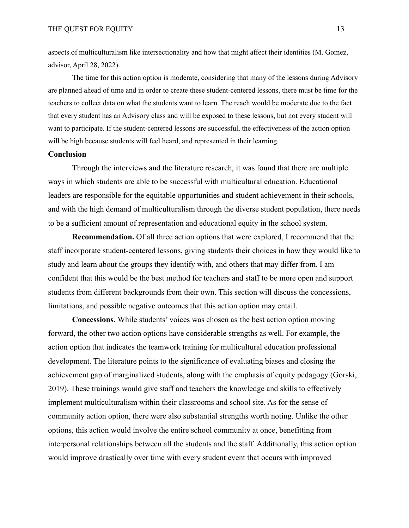aspects of multiculturalism like intersectionality and how that might affect their identities (M. Gomez, advisor, April 28, 2022).

The time for this action option is moderate, considering that many of the lessons during Advisory are planned ahead of time and in order to create these student-centered lessons, there must be time for the teachers to collect data on what the students want to learn. The reach would be moderate due to the fact that every student has an Advisory class and will be exposed to these lessons, but not every student will want to participate. If the student-centered lessons are successful, the effectiveness of the action option will be high because students will feel heard, and represented in their learning.

#### **Conclusion**

Through the interviews and the literature research, it was found that there are multiple ways in which students are able to be successful with multicultural education. Educational leaders are responsible for the equitable opportunities and student achievement in their schools, and with the high demand of multiculturalism through the diverse student population, there needs to be a sufficient amount of representation and educational equity in the school system.

**Recommendation.** Of all three action options that were explored, I recommend that the staff incorporate student-centered lessons, giving students their choices in how they would like to study and learn about the groups they identify with, and others that may differ from. I am confident that this would be the best method for teachers and staff to be more open and support students from different backgrounds from their own. This section will discuss the concessions, limitations, and possible negative outcomes that this action option may entail.

**Concessions.** While students' voices was chosen as the best action option moving forward, the other two action options have considerable strengths as well. For example, the action option that indicates the teamwork training for multicultural education professional development. The literature points to the significance of evaluating biases and closing the achievement gap of marginalized students, along with the emphasis of equity pedagogy (Gorski, 2019). These trainings would give staff and teachers the knowledge and skills to effectively implement multiculturalism within their classrooms and school site. As for the sense of community action option, there were also substantial strengths worth noting. Unlike the other options, this action would involve the entire school community at once, benefitting from interpersonal relationships between all the students and the staff. Additionally, this action option would improve drastically over time with every student event that occurs with improved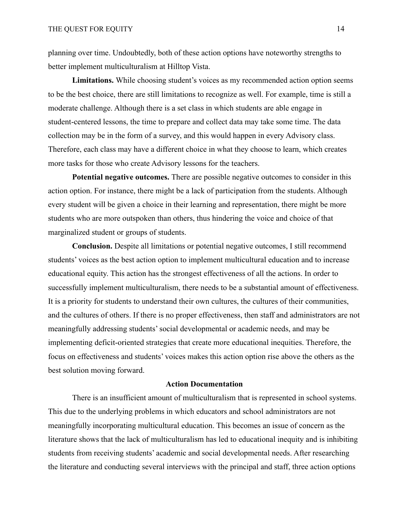planning over time. Undoubtedly, both of these action options have noteworthy strengths to better implement multiculturalism at Hilltop Vista.

**Limitations.** While choosing student's voices as my recommended action option seems to be the best choice, there are still limitations to recognize as well. For example, time is still a moderate challenge. Although there is a set class in which students are able engage in student-centered lessons, the time to prepare and collect data may take some time. The data collection may be in the form of a survey, and this would happen in every Advisory class. Therefore, each class may have a different choice in what they choose to learn, which creates more tasks for those who create Advisory lessons for the teachers.

**Potential negative outcomes.** There are possible negative outcomes to consider in this action option. For instance, there might be a lack of participation from the students. Although every student will be given a choice in their learning and representation, there might be more students who are more outspoken than others, thus hindering the voice and choice of that marginalized student or groups of students.

**Conclusion.** Despite all limitations or potential negative outcomes, I still recommend students' voices as the best action option to implement multicultural education and to increase educational equity. This action has the strongest effectiveness of all the actions. In order to successfully implement multiculturalism, there needs to be a substantial amount of effectiveness. It is a priority for students to understand their own cultures, the cultures of their communities, and the cultures of others. If there is no proper effectiveness, then staff and administrators are not meaningfully addressing students' social developmental or academic needs, and may be implementing deficit-oriented strategies that create more educational inequities. Therefore, the focus on effectiveness and students' voices makes this action option rise above the others as the best solution moving forward.

#### **Action Documentation**

There is an insufficient amount of multiculturalism that is represented in school systems. This due to the underlying problems in which educators and school administrators are not meaningfully incorporating multicultural education. This becomes an issue of concern as the literature shows that the lack of multiculturalism has led to educational inequity and is inhibiting students from receiving students' academic and social developmental needs. After researching the literature and conducting several interviews with the principal and staff, three action options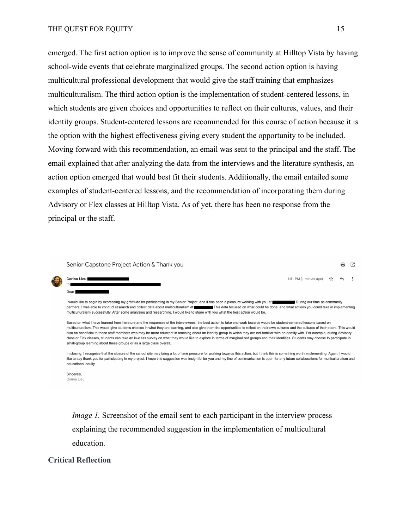emerged. The first action option is to improve the sense of community at Hilltop Vista by having school-wide events that celebrate marginalized groups. The second action option is having multicultural professional development that would give the staff training that emphasizes multiculturalism. The third action option is the implementation of student-centered lessons, in which students are given choices and opportunities to reflect on their cultures, values, and their identity groups. Student-centered lessons are recommended for this course of action because it is the option with the highest effectiveness giving every student the opportunity to be included. Moving forward with this recommendation, an email was sent to the principal and the staff. The email explained that after analyzing the data from the interviews and the literature synthesis, an action option emerged that would best fit their students. Additionally, the email entailed some examples of student-centered lessons, and the recommendation of incorporating them during Advisory or Flex classes at Hilltop Vista. As of yet, there has been no response from the principal or the staff.

Senior Capstone Project Action & Thank you

6:51 PM (1 minute ago)  $\frac{1}{2}$  $\leftrightarrow$  $\ddot{\cdot}$ 

A ☑

| I would like to begin by expressing my gratitude for participating in my Senior Project, and it has been a pleasure working with you at                                         | During our time as community |
|---------------------------------------------------------------------------------------------------------------------------------------------------------------------------------|------------------------------|
| partners. I was able to conduct research and collect data about multiculturalism at<br>This data focused on what could be done, and what actions you could take in implementing |                              |
| multiculturalism successfully. After some analyzing and researching. I would like to share with you what the best action would be.                                              |                              |

Based on what I have learned from literature and the responses of the interviewees, the best action to take and work towards would be student-centered lessons based on multiculturalism. This would give students choices in what they are learning, and also give them the opportunities to reflect on their own cultures and the cultures of their peers. This would also be beneficial to those staff members who may be more reluctant in teaching about an identity group in which they are not familiar with or identify with. For example, during Advisory class or Flex classes, students can take an in-class survey on what they would like to explore in terms of marginalized groups and their identities. Students may choose to participate in small-group learning about these groups or as a large class overall.

In closing. I recognize that the closure of the school site may bring a lot of time pressure for working towards this action, but I think this is something worth implementing. Again, I would like to say thank you for participating in my project. I hope this suggestion was insightful for you and my line of communication is open for any future collaborations for multiculturalism and educational equity.

Sincerely. Corina Lieu

Corina Lieu

Dear<sup>1</sup>

*Image 1.* Screenshot of the email sent to each participant in the interview process explaining the recommended suggestion in the implementation of multicultural education.

#### **Critical Reflection**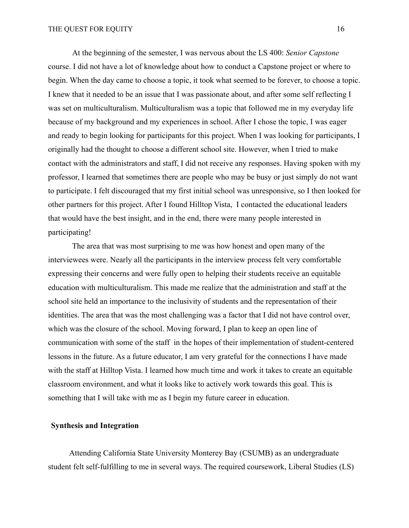At the beginning of the semester, I was nervous about the LS 400: *Senior Capstone* course. I did not have a lot of knowledge about how to conduct a Capstone project or where to begin. When the day came to choose a topic, it took what seemed to be forever, to choose a topic. I knew that it needed to be an issue that I was passionate about, and after some self reflecting I was set on multiculturalism. Multiculturalism was a topic that followed me in my everyday life because of my background and my experiences in school. After I chose the topic, I was eager and ready to begin looking for participants for this project. When I was looking for participants, I originally had the thought to choose a different school site. However, when I tried to make contact with the administrators and staff, I did not receive any responses. Having spoken with my professor, I learned that sometimes there are people who may be busy or just simply do not want to participate. I felt discouraged that my first initial school was unresponsive, so I then looked for other partners for this project. After I found Hilltop Vista, I contacted the educational leaders that would have the best insight, and in the end, there were many people interested in participating!

The area that was most surprising to me was how honest and open many of the interviewees were. Nearly all the participants in the interview process felt very comfortable expressing their concerns and were fully open to helping their students receive an equitable education with multiculturalism. This made me realize that the administration and staff at the school site held an importance to the inclusivity of students and the representation of their identities. The area that was the most challenging was a factor that I did not have control over, which was the closure of the school. Moving forward, I plan to keep an open line of communication with some of the staff in the hopes of their implementation of student-centered lessons in the future. As a future educator, I am very grateful for the connections I have made with the staff at Hilltop Vista. I learned how much time and work it takes to create an equitable classroom environment, and what it looks like to actively work towards this goal. This is something that I will take with me as I begin my future career in education.

#### **Synthesis and Integration**

Attending California State University Monterey Bay (CSUMB) as an undergraduate student felt self-fulfilling to me in several ways. The required coursework, Liberal Studies (LS)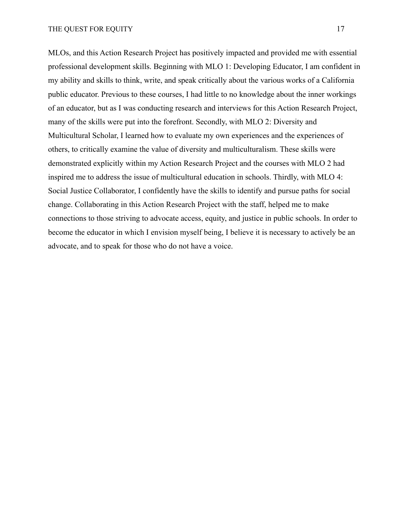MLOs, and this Action Research Project has positively impacted and provided me with essential professional development skills. Beginning with MLO 1: Developing Educator, I am confident in my ability and skills to think, write, and speak critically about the various works of a California public educator. Previous to these courses, I had little to no knowledge about the inner workings of an educator, but as I was conducting research and interviews for this Action Research Project, many of the skills were put into the forefront. Secondly, with MLO 2: Diversity and Multicultural Scholar, I learned how to evaluate my own experiences and the experiences of others, to critically examine the value of diversity and multiculturalism. These skills were demonstrated explicitly within my Action Research Project and the courses with MLO 2 had inspired me to address the issue of multicultural education in schools. Thirdly, with MLO 4: Social Justice Collaborator, I confidently have the skills to identify and pursue paths for social change. Collaborating in this Action Research Project with the staff, helped me to make connections to those striving to advocate access, equity, and justice in public schools. In order to become the educator in which I envision myself being, I believe it is necessary to actively be an advocate, and to speak for those who do not have a voice.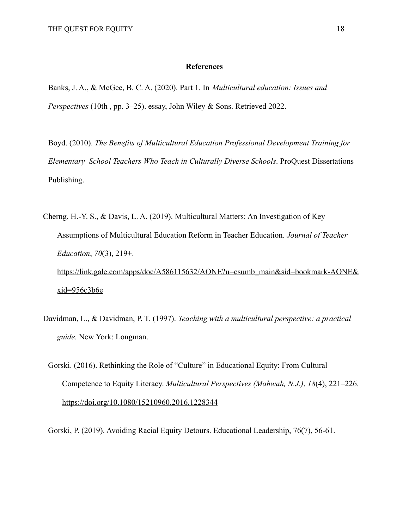#### **References**

Banks, J. A., & McGee, B. C. A. (2020). Part 1. In *Multicultural education: Issues and Perspectives* (10th , pp. 3–25). essay, John Wiley & Sons. Retrieved 2022.

Boyd. (2010). *The Benefits of Multicultural Education Professional Development Training for Elementary School Teachers Who Teach in Culturally Diverse Schools*. ProQuest Dissertations Publishing.

- Cherng, H.-Y. S., & Davis, L. A. (2019). Multicultural Matters: An Investigation of Key Assumptions of Multicultural Education Reform in Teacher Education. *Journal of Teacher Education*, *70*(3), 219+. [https://link.gale.com/apps/doc/A586115632/AONE?u=csumb\\_main&sid=bookmark-AONE&](https://link.gale.com/apps/doc/A586115632/AONE?u=csumb_main&sid=bookmark-AONE&xid=956c3b6e)  $xid = 956c3b6e$
- Davidman, L., & Davidman, P. T. (1997). *Teaching with a multicultural perspective: a practical guide.* New York: Longman.
	- Gorski. (2016). Rethinking the Role of "Culture" in Educational Equity: From Cultural Competence to Equity Literacy. *Multicultural Perspectives (Mahwah, N.J.)*, *18*(4), 221–226. <https://doi.org/10.1080/15210960.2016.1228344>

Gorski, P. (2019). Avoiding Racial Equity Detours. Educational Leadership, 76(7), 56-61.